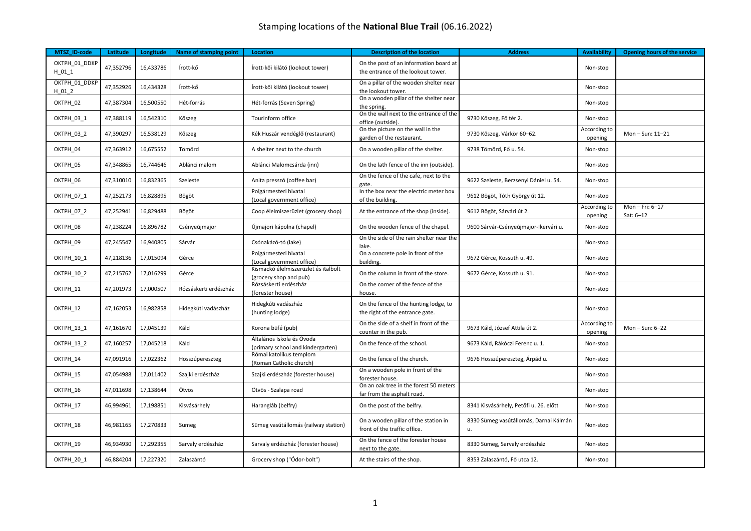| MTSZ ID-code             | Latitude  | Longitude | Name of stamping point | Location                                                       | <b>Description of the location</b>                                           | <b>Address</b>                               | <b>Availability</b>     | Opening hours of the service |
|--------------------------|-----------|-----------|------------------------|----------------------------------------------------------------|------------------------------------------------------------------------------|----------------------------------------------|-------------------------|------------------------------|
| OKTPH_01_DDKP<br>$H_011$ | 47,352796 | 16,433786 | Írott-kő               | Írott-kői kilátó (lookout tower)                               | On the post of an information board at<br>the entrance of the lookout tower. |                                              | Non-stop                |                              |
| OKTPH 01 DDKP<br>H 01 2  | 47,352926 | 16,434328 | Írott-kő               | Írott-kői kilátó (lookout tower)                               | On a pillar of the wooden shelter near<br>the lookout tower.                 |                                              | Non-stop                |                              |
| OKTPH 02                 | 47,387304 | 16,500550 | Hét-forrás             | Hét-forrás (Seven Spring)                                      | On a wooden pillar of the shelter near<br>the spring                         |                                              | Non-stop                |                              |
| <b>OKTPH 03 1</b>        | 47,388119 | 16,542310 | Kőszeg                 | Tourinform office                                              | On the wall next to the entrance of the<br>office (outside).                 | 9730 Kőszeg, Fő tér 2.                       | Non-stop                |                              |
| OKTPH 03 2               | 47,390297 | 16,538129 | Kőszeg                 | Kék Huszár vendéglő (restaurant)                               | On the picture on the wall in the<br>garden of the restaurant.               | 9730 Kőszeg, Várkör 60-62.                   | According to<br>opening | Mon-Sun: 11-21               |
| OKTPH 04                 | 47,363912 | 16,675552 | Tömörd                 | A shelter next to the church                                   | On a wooden pillar of the shelter.                                           | 9738 Tömörd, Fő u. 54.                       | Non-stop                |                              |
| OKTPH 05                 | 47,348865 | 16,744646 | Ablánci malom          | Ablánci Malomcsárda (inn)                                      | On the lath fence of the inn (outside).                                      |                                              | Non-stop                |                              |
| OKTPH 06                 | 47,310010 | 16,832365 | Szeleste               | Anita presszó (coffee bar)                                     | On the fence of the cafe, next to the<br>gate.                               | 9622 Szeleste, Berzsenyi Dániel u. 54.       | Non-stop                |                              |
| OKTPH_07_1               | 47,252173 | 16,828895 | Bögöt                  | Polgármesteri hivatal<br>(Local government office)             | In the box near the electric meter box<br>of the building.                   | 9612 Bögöt, Tóth György út 12.               | Non-stop                |                              |
| OKTPH_07_2               | 47,252941 | 16,829488 | Bögöt                  | Coop élelmiszerüzlet (grocery shop)                            | At the entrance of the shop (inside).                                        | 9612 Bögöt, Sárvári út 2.                    | According to<br>opening | Mon-Fri: 6-17<br>Sat: 6-12   |
| OKTPH 08                 | 47,238224 | 16,896782 | Csényeújmajor          | Újmajori kápolna (chapel)                                      | On the wooden fence of the chapel.                                           | 9600 Sárvár-Csényeújmajor-Ikervári u.        | Non-stop                |                              |
| OKTPH 09                 | 47,245547 | 16,940805 | Sárvár                 | Csónakázó-tó (lake)                                            | On the side of the rain shelter near the<br>lake.                            |                                              | Non-stop                |                              |
| OKTPH_10_1               | 47,218136 | 17,015094 | Gérce                  | Polgármesteri hivatal<br>(Local government office)             | On a concrete pole in front of the<br>building.                              | 9672 Gérce, Kossuth u. 49.                   | Non-stop                |                              |
| <b>OKTPH 10 2</b>        | 47,215762 | 17,016299 | Gérce                  | Kismackó élelmiszerüzlet és italbolt<br>(grocery shop and pub) | On the column in front of the store.                                         | 9672 Gérce, Kossuth u. 91.                   | Non-stop                |                              |
| OKTPH_11                 | 47,201973 | 17,000507 | Rózsáskerti erdészház  | Rózsáskerti erdészház<br>(forester house)                      | On the corner of the fence of the<br>house.                                  |                                              | Non-stop                |                              |
| OKTPH_12                 | 47,162053 | 16,982858 | Hidegkúti vadászház    | Hidegkúti vadászház<br>(hunting lodge)                         | On the fence of the hunting lodge, to<br>the right of the entrance gate.     |                                              | Non-stop                |                              |
| OKTPH_13_1               | 47,161670 | 17,045139 | Káld                   | Korona büfé (pub)                                              | On the side of a shelf in front of the<br>counter in the pub.                | 9673 Káld, József Attila út 2.               | According to<br>opening | Mon-Sun: 6-22                |
| <b>OKTPH 13 2</b>        | 47,160257 | 17,045218 | Káld                   | Általános Iskola és Óvoda<br>(primary school and kindergarten) | On the fence of the school.                                                  | 9673 Káld, Rákóczi Ferenc u. 1.              | Non-stop                |                              |
| OKTPH 14                 | 47,091916 | 17,022362 | Hosszúpereszteg        | Római katolikus templom<br>(Roman Catholic church)             | On the fence of the church.                                                  | 9676 Hosszúpereszteg, Árpád u.               | Non-stop                |                              |
| OKTPH_15                 | 47,054988 | 17,011402 | Szajki erdészház       | Szajki erdészház (forester house)                              | On a wooden pole in front of the<br>forester house.                          |                                              | Non-stop                |                              |
| OKTPH 16                 | 47,011698 | 17,138644 | Ötvös                  | Ötvös - Szalapa road                                           | On an oak tree in the forest 50 meters<br>far from the asphalt road.         |                                              | Non-stop                |                              |
| OKTPH 17                 | 46,994961 | 17,198851 | Kisvásárhely           | Harangláb (belfry)                                             | On the post of the belfry.                                                   | 8341 Kisvásárhely, Petőfi u. 26. előtt       | Non-stop                |                              |
| OKTPH 18                 | 46,981165 | 17,270833 | Sümeg                  | Sümeg vasútállomás (railway station)                           | On a wooden pillar of the station in<br>front of the traffic office.         | 8330 Sümeg vasútállomás, Darnai Kálmán<br>u. | Non-stop                |                              |
| OKTPH 19                 | 46,934930 | 17,292355 | Sarvaly erdészház      | Sarvaly erdészház (forester house)                             | On the fence of the forester house<br>next to the gate.                      | 8330 Sümeg, Sarvaly erdészház                | Non-stop                |                              |
| OKTPH_20_1               | 46,884204 | 17,227320 | Zalaszántó             | Grocery shop ("Ódor-bolt")                                     | At the stairs of the shop.                                                   | 8353 Zalaszántó, Fő utca 12.                 | Non-stop                |                              |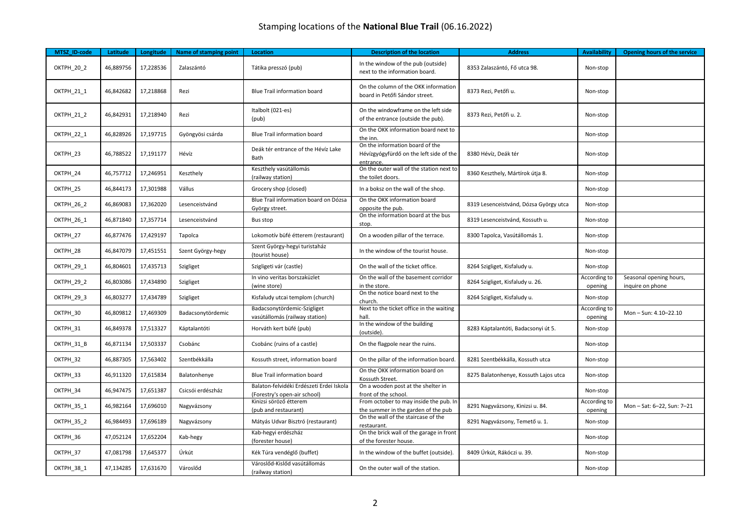| MTSZ ID-code | Latitude  | Longitude | Name of stamping point | Location                                                                 | <b>Description of the location</b>                                                     | <b>Address</b>                         | <b>Availability</b>     | Opening hours of the service                |
|--------------|-----------|-----------|------------------------|--------------------------------------------------------------------------|----------------------------------------------------------------------------------------|----------------------------------------|-------------------------|---------------------------------------------|
| OKTPH_20_2   | 46,889756 | 17,228536 | Zalaszántó             | Tátika presszó (pub)                                                     | In the window of the pub (outside)<br>next to the information board.                   | 8353 Zalaszántó, Fő utca 98.           | Non-stop                |                                             |
| OKTPH_21_1   | 46,842682 | 17,218868 | Rezi                   | Blue Trail information board                                             | On the column of the OKK information<br>board in Petőfi Sándor street.                 | 8373 Rezi, Petőfi u.                   | Non-stop                |                                             |
| OKTPH_21_2   | 46,842931 | 17,218940 | Rezi                   | Italbolt (021-es)<br>(pub)                                               | On the windowframe on the left side<br>of the entrance (outside the pub).              | 8373 Rezi, Petőfi u. 2.                | Non-stop                |                                             |
| OKTPH_22_1   | 46,828926 | 17,197715 | Gyöngyösi csárda       | Blue Trail information board                                             | On the OKK information board next to<br>the inn.                                       |                                        | Non-stop                |                                             |
| OKTPH_23     | 46,788522 | 17,191177 | Hévíz                  | Deák tér entrance of the Hévíz Lake<br>Bath                              | On the information board of the<br>Hévízgyógyfürdő on the left side of the<br>entrance | 8380 Hévíz, Deák tér                   | Non-stop                |                                             |
| OKTPH 24     | 46,757712 | 17,246951 | Keszthely              | Keszthely vasútállomás<br>(railway station)                              | On the outer wall of the station next to<br>the toilet doors.                          | 8360 Keszthely, Mártírok útja 8.       | Non-stop                |                                             |
| OKTPH 25     | 46,844173 | 17,301988 | Vállus                 | Grocery shop (closed)                                                    | In a boksz on the wall of the shop.                                                    |                                        | Non-stop                |                                             |
| OKTPH_26_2   | 46,869083 | 17,362020 | Lesenceistvánd         | Blue Trail information board on Dózsa<br>György street.                  | On the OKK information board<br>opposite the pub.                                      | 8319 Lesenceistvánd, Dózsa György utca | Non-stop                |                                             |
| OKTPH_26_1   | 46,871840 | 17,357714 | Lesenceistvánd         | Bus stop                                                                 | On the information board at the bus<br>stop.                                           | 8319 Lesenceistvánd, Kossuth u.        | Non-stop                |                                             |
| OKTPH 27     | 46,877476 | 17,429197 | Tapolca                | Lokomotív büfé étterem (restaurant)                                      | On a wooden pillar of the terrace.                                                     | 8300 Tapolca, Vasútállomás 1.          | Non-stop                |                                             |
| OKTPH 28     | 46,847079 | 17,451551 | Szent György-hegy      | Szent György-hegyi turistaház<br>(tourist house)                         | In the window of the tourist house.                                                    |                                        | Non-stop                |                                             |
| OKTPH_29_1   | 46,804601 | 17,435713 | Szigliget              | Szigligeti vár (castle)                                                  | On the wall of the ticket office.                                                      | 8264 Szigliget, Kisfaludy u.           | Non-stop                |                                             |
| OKTPH_29_2   | 46,803086 | 17,434890 | Szigliget              | In vino veritas borszaküzlet<br>(wine store)                             | On the wall of the basement corridor<br>in the store.                                  | 8264 Szigliget, Kisfaludy u. 26.       | According to<br>opening | Seasonal opening hours,<br>inquire on phone |
| OKTPH_29_3   | 46,803277 | 17,434789 | Szigliget              | Kisfaludy utcai templom (church)                                         | On the notice board next to the<br>church.                                             | 8264 Szigliget, Kisfaludy u.           | Non-stop                |                                             |
| OKTPH 30     | 46,809812 | 17,469309 | Badacsonytördemic      | Badacsonytördemic-Szigliget<br>vasútállomás (railway station)            | Next to the ticket office in the waiting<br>hall.                                      |                                        | According to<br>opening | Mon-Sun: 4.10-22.10                         |
| OKTPH 31     | 46,849378 | 17,513327 | Káptalantóti           | Horváth kert büfé (pub)                                                  | In the window of the building<br>(outside)                                             | 8283 Káptalantóti, Badacsonyi út 5.    | Non-stop                |                                             |
| OKTPH 31 B   | 46,871134 | 17,503337 | Csobánc                | Csobánc (ruins of a castle)                                              | On the flagpole near the ruins.                                                        |                                        | Non-stop                |                                             |
| OKTPH 32     | 46,887305 | 17,563402 | Szentbékkálla          | Kossuth street, information board                                        | On the pillar of the information board.                                                | 8281 Szentbékkálla, Kossuth utca       | Non-stop                |                                             |
| OKTPH_33     | 46,911320 | 17,615834 | Balatonhenye           | Blue Trail information board                                             | On the OKK information board on<br>Kossuth Street.                                     | 8275 Balatonhenye, Kossuth Lajos utca  | Non-stop                |                                             |
| OKTPH 34     | 46,947475 | 17,651387 | Csicsói erdészház      | Balaton-felvidéki Erdészeti Erdei Iskola<br>(Forestry's open-air school) | On a wooden post at the shelter in<br>front of the school.                             |                                        | Non-stop                |                                             |
| OKTPH_35_1   | 46,982164 | 17,696010 | Nagyvázsony            | Kinizsi söröző étterem<br>(pub and restaurant)                           | From october to may inside the pub. In<br>the summer in the garden of the pub          | 8291 Nagyvázsony, Kinizsi u. 84.       | According to<br>opening | Mon-Sat: 6-22, Sun: 7-21                    |
| OKTPH 35 2   | 46,984493 | 17,696189 | Nagyvázsony            | Mátyás Udvar Bisztró (restaurant)                                        | On the wall of the staircase of the<br>restaurant.                                     | 8291 Nagyvázsony, Temető u. 1.         | Non-stop                |                                             |
| OKTPH 36     | 47,052124 | 17,652204 | Kab-hegy               | Kab-hegyi erdészház<br>(forester house)                                  | On the brick wall of the garage in front<br>of the forester house.                     |                                        | Non-stop                |                                             |
| OKTPH 37     | 47,081798 | 17,645377 | Úrkút                  | Kék Túra vendéglő (buffet)                                               | In the window of the buffet (outside).                                                 | 8409 Úrkút, Rákóczi u. 39.             | Non-stop                |                                             |
| OKTPH 38 1   | 47,134285 | 17,631670 | Városlőd               | Városlőd-Kislőd vasútállomás<br>(railway station)                        | On the outer wall of the station.                                                      |                                        | Non-stop                |                                             |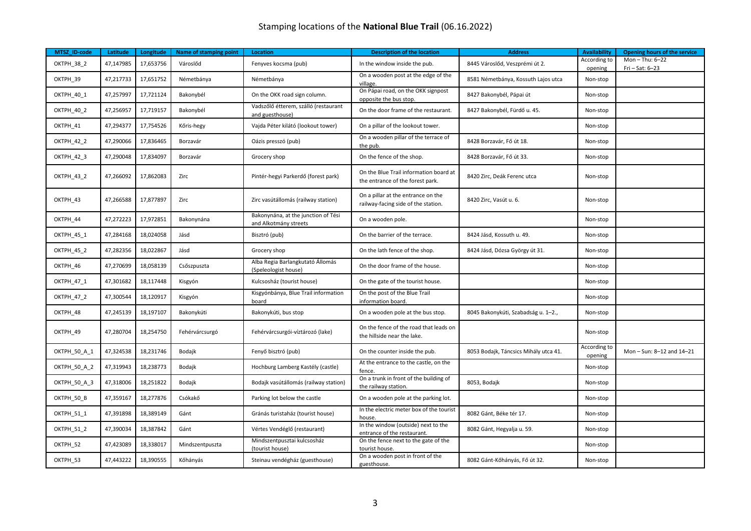| MTSZ ID-code      | Latitude  | Longitude | <b>Name of stamping point</b> | <b>Location</b>                                              | <b>Description of the location</b>                                         | <b>Address</b>                        | <b>Availability</b>     | Opening hours of the service       |
|-------------------|-----------|-----------|-------------------------------|--------------------------------------------------------------|----------------------------------------------------------------------------|---------------------------------------|-------------------------|------------------------------------|
| OKTPH_38_2        | 47,147985 | 17,653756 | Városlőd                      | Fenyves kocsma (pub)                                         | In the window inside the pub.                                              | 8445 Városlőd, Veszprémi út 2.        | According to<br>opening | Mon-Thu: 6-22<br>$Fri - Sat: 6-23$ |
| OKTPH 39          | 47,217733 | 17,651752 | Németbánya                    | Németbánya                                                   | On a wooden post at the edge of the<br>village.                            | 8581 Németbánya, Kossuth Lajos utca   | Non-stop                |                                    |
| <b>OKTPH 40 1</b> | 47,257997 | 17,721124 | Bakonybél                     | On the OKK road sign column.                                 | On Pápai road, on the OKK signpost<br>opposite the bus stop.               | 8427 Bakonybél, Pápai út              | Non-stop                |                                    |
| OKTPH_40_2        | 47,256957 | 17,719157 | Bakonybél                     | Vadszőlő étterem, szálló (restaurant<br>and guesthouse)      | On the door frame of the restaurant.                                       | 8427 Bakonybél, Fürdő u. 45.          | Non-stop                |                                    |
| OKTPH 41          | 47,294377 | 17,754526 | Kőris-hegy                    | Vajda Péter kilátó (lookout tower)                           | On a pillar of the lookout tower.                                          |                                       | Non-stop                |                                    |
| OKTPH_42_2        | 47,290066 | 17,836465 | Borzavár                      | Oázis presszó (pub)                                          | On a wooden pillar of the terrace of<br>the pub.                           | 8428 Borzavár, Fő út 18.              | Non-stop                |                                    |
| OKTPH_42_3        | 47,290048 | 17,834097 | Borzavár                      | Grocery shop                                                 | On the fence of the shop.                                                  | 8428 Borzavár, Fő út 33.              | Non-stop                |                                    |
| OKTPH_43_2        | 47,266092 | 17,862083 | Zirc                          | Pintér-hegyi Parkerdő (forest park)                          | On the Blue Trail information board at<br>the entrance of the forest park. | 8420 Zirc, Deák Ferenc utca           | Non-stop                |                                    |
| OKTPH_43          | 47,266588 | 17,877897 | Zirc                          | Zirc vasútállomás (railway station)                          | On a pillar at the entrance on the<br>railway-facing side of the station.  | 8420 Zirc, Vasút u. 6.                | Non-stop                |                                    |
| OKTPH_44          | 47,272223 | 17,972851 | Bakonynána                    | Bakonynána, at the junction of Tési<br>and Alkotmány streets | On a wooden pole.                                                          |                                       | Non-stop                |                                    |
| OKTPH_45_1        | 47,284168 | 18,024058 | Jásd                          | Bisztró (pub)                                                | On the barrier of the terrace.                                             | 8424 Jásd, Kossuth u. 49.             | Non-stop                |                                    |
| OKTPH 45 2        | 47,282356 | 18,022867 | Jásd                          | Grocery shop                                                 | On the lath fence of the shop.                                             | 8424 Jásd, Dózsa György út 31.        | Non-stop                |                                    |
| OKTPH_46          | 47,270699 | 18,058139 | Csőszpuszta                   | Alba Regia Barlangkutató Állomás<br>(Speleologist house)     | On the door frame of the house.                                            |                                       | Non-stop                |                                    |
| OKTPH_47_1        | 47,301682 | 18,117448 | Kisgyón                       | Kulcsosház (tourist house)                                   | On the gate of the tourist house.                                          |                                       | Non-stop                |                                    |
| OKTPH_47_2        | 47,300544 | 18,120917 | Kisgyón                       | Kisgyónbánya, Blue Trail information<br>board                | On the post of the Blue Trail<br>information board.                        |                                       | Non-stop                |                                    |
| OKTPH_48          | 47,245139 | 18,197107 | Bakonykúti                    | Bakonykúti, bus stop                                         | On a wooden pole at the bus stop.                                          | 8045 Bakonykúti, Szabadság u. 1-2.,   | Non-stop                |                                    |
| OKTPH_49          | 47,280704 | 18,254750 | Fehérvárcsurgó                | Fehérvárcsurgói-víztározó (lake)                             | On the fence of the road that leads on<br>the hillside near the lake.      |                                       | Non-stop                |                                    |
| OKTPH_50_A_1      | 47,324538 | 18,231746 | Bodajk                        | Fenyő bisztró (pub)                                          | On the counter inside the pub.                                             | 8053 Bodajk, Táncsics Mihály utca 41. | According to<br>opening | Mon-Sun: 8-12 and 14-21            |
| OKTPH 50 A 2      | 47,319943 | 18,238773 | Bodajk                        | Hochburg Lamberg Kastély (castle)                            | At the entrance to the castle, on the<br>fence.                            |                                       | Non-stop                |                                    |
| OKTPH_50_A_3      | 47,318006 | 18,251822 | Bodajk                        | Bodajk vasútállomás (railway station)                        | On a trunk in front of the building of<br>the railway station.             | 8053, Bodajk                          | Non-stop                |                                    |
| OKTPH_50_B        | 47,359167 | 18,277876 | Csókakő                       | Parking lot below the castle                                 | On a wooden pole at the parking lot.                                       |                                       | Non-stop                |                                    |
| OKTPH 51 1        | 47,391898 | 18,389149 | Gánt                          | Gránás turistaház (tourist house)                            | In the electric meter box of the tourist<br>house.                         | 8082 Gánt, Béke tér 17.               | Non-stop                |                                    |
| OKTPH 51 2        | 47,390034 | 18,387842 | Gánt                          | Vértes Vendéglő (restaurant)                                 | In the window (outside) next to the<br>entrance of the restaurant.         | 8082 Gánt, Hegyalja u. 59.            | Non-stop                |                                    |
| OKTPH 52          | 47,423089 | 18,338017 | Mindszentpuszta               | Mindszentpusztai kulcsosház<br>(tourist house)               | On the fence next to the gate of the<br>tourist house.                     |                                       | Non-stop                |                                    |
| OKTPH_53          | 47,443222 | 18,390555 | Kőhányás                      | Steinau vendégház (guesthouse)                               | On a wooden post in front of the<br>guesthouse.                            | 8082 Gánt-Kőhányás, Fő út 32.         | Non-stop                |                                    |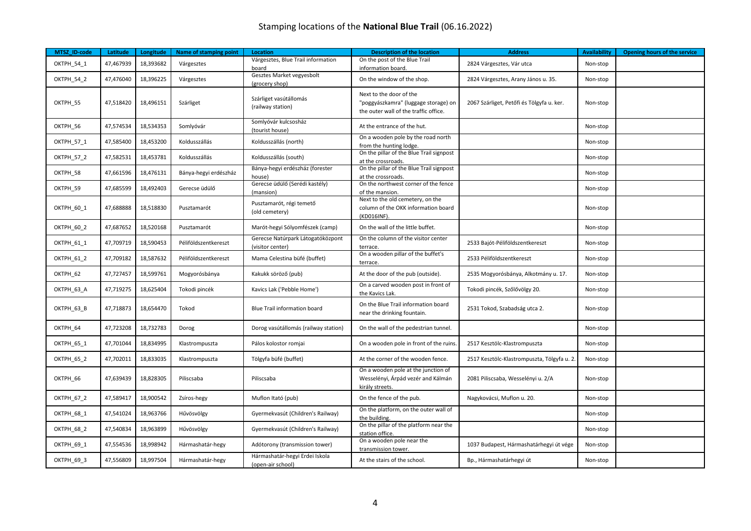| MTSZ_ID-code      | Latitude  | Longitude | Name of stamping point | <b>Location</b>                                       | <b>Description of the location</b>                                                                       | <b>Address</b>                             | <b>Availability</b> | Opening hours of the service |
|-------------------|-----------|-----------|------------------------|-------------------------------------------------------|----------------------------------------------------------------------------------------------------------|--------------------------------------------|---------------------|------------------------------|
| OKTPH 54 1        | 47,467939 | 18,393682 | Várgesztes             | Várgesztes, Blue Trail information<br>board           | On the post of the Blue Trail<br>information board.                                                      | 2824 Várgesztes, Vár utca                  | Non-stop            |                              |
| OKTPH_54_2        | 47,476040 | 18,396225 | Várgesztes             | Gesztes Market vegyesbolt<br>(grocery shop)           | On the window of the shop.                                                                               | 2824 Várgesztes, Arany János u. 35.        | Non-stop            |                              |
| OKTPH 55          | 47,518420 | 18,496151 | Szárliget              | Szárliget vasútállomás<br>(railway station)           | Next to the door of the<br>"poggyászkamra" (luggage storage) on<br>the outer wall of the traffic office. | 2067 Szárliget, Petőfi és Tölgyfa u. ker.  | Non-stop            |                              |
| OKTPH_56          | 47,574534 | 18,534353 | Somlyóvár              | Somlyóvár kulcsosház<br>(tourist house)               | At the entrance of the hut.                                                                              |                                            | Non-stop            |                              |
| OKTPH_57_1        | 47,585400 | 18,453200 | Koldusszállás          | Koldusszállás (north)                                 | On a wooden pole by the road north<br>from the hunting lodge.                                            |                                            | Non-stop            |                              |
| OKTPH 57 2        | 47,582531 | 18,453781 | Koldusszállás          | Koldusszállás (south)                                 | On the pillar of the Blue Trail signpost<br>at the crossroads.                                           |                                            | Non-stop            |                              |
| OKTPH_58          | 47,661596 | 18,476131 | Bánya-hegyi erdészház  | Bánya-hegyi erdészház (forester<br>house)             | On the pillar of the Blue Trail signpost<br>at the crossroads.                                           |                                            | Non-stop            |                              |
| OKTPH_59          | 47,685599 | 18,492403 | Gerecse üdülő          | Gerecse üdülő (Serédi kastély)<br>(mansion)           | On the northwest corner of the fence<br>of the mansion.                                                  |                                            | Non-stop            |                              |
| OKTPH_60_1        | 47,688888 | 18,518830 | Pusztamarót            | Pusztamarót, régi temető<br>(old cemetery)            | Next to the old cemetery, on the<br>column of the OKK information board<br>(KD016INF).                   |                                            | Non-stop            |                              |
| OKTPH_60_2        | 47,687652 | 18,520168 | Pusztamarót            | Marót-hegyi Sólyomfészek (camp)                       | On the wall of the little buffet.                                                                        |                                            | Non-stop            |                              |
| OKTPH_61_1        | 47,709719 | 18,590453 | Péliföldszentkereszt   | Gerecse Natúrpark Látogatóközpont<br>(visitor center) | On the column of the visitor center<br>terrace.                                                          | 2533 Bajót-Péliföldszentkereszt            | Non-stop            |                              |
| <b>OKTPH 61 2</b> | 47,709182 | 18,587632 | Péliföldszentkereszt   | Mama Celestina büfé (buffet)                          | On a wooden pillar of the buffet's<br>terrace.                                                           | 2533 Péliföldszentkereszt                  | Non-stop            |                              |
| OKTPH_62          | 47,727457 | 18,599761 | Mogyorósbánya          | Kakukk söröző (pub)                                   | At the door of the pub (outside).                                                                        | 2535 Mogyorósbánya, Alkotmány u. 17.       | Non-stop            |                              |
| OKTPH_63_A        | 47,719275 | 18,625404 | Tokodi pincék          | Kavics Lak ('Pebble Home')                            | On a carved wooden post in front of<br>the Kavics Lak.                                                   | Tokodi pincék, Szőlővölgy 20.              | Non-stop            |                              |
| OKTPH_63_B        | 47,718873 | 18,654470 | Tokod                  | Blue Trail information board                          | On the Blue Trail information board<br>near the drinking fountain.                                       | 2531 Tokod, Szabadság utca 2.              | Non-stop            |                              |
| OKTPH 64          | 47,723208 | 18,732783 | Dorog                  | Dorog vasútállomás (railway station)                  | On the wall of the pedestrian tunnel.                                                                    |                                            | Non-stop            |                              |
| <b>OKTPH 65 1</b> | 47,701044 | 18,834995 | Klastrompuszta         | Pálos kolostor romjai                                 | On a wooden pole in front of the ruins.                                                                  | 2517 Kesztölc-Klastrompuszta               | Non-stop            |                              |
| OKTPH_65_2        | 47,702011 | 18,833035 | Klastrompuszta         | Tölgyfa büfé (buffet)                                 | At the corner of the wooden fence.                                                                       | 2517 Kesztölc-Klastrompuszta, Tölgyfa u. 2 | Non-stop            |                              |
| OKTPH 66          | 47,639439 | 18,828305 | Piliscsaba             | Piliscsaba                                            | On a wooden pole at the junction of<br>Wesselényi, Árpád vezér and Kálmán<br>király streets.             | 2081 Piliscsaba, Wesselényi u. 2/A         | Non-stop            |                              |
| <b>OKTPH 67 2</b> | 47,589417 | 18,900542 | Zsíros-hegy            | Muflon Itató (pub)                                    | On the fence of the pub.                                                                                 | Nagykovácsi, Muflon u. 20.                 | Non-stop            |                              |
| OKTPH_68_1        | 47,541024 | 18,963766 | Hűvösvölgy             | Gyermekvasút (Children's Railway)                     | On the platform, on the outer wall of<br>the building.                                                   |                                            | Non-stop            |                              |
| OKTPH 68 2        | 47,540834 | 18,963899 | Hűvösvölgy             | Gyermekvasút (Children's Railway)                     | On the pillar of the platform near the<br>station office.                                                |                                            | Non-stop            |                              |
| OKTPH_69_1        | 47,554536 | 18,998942 | Hármashatár-hegy       | Adótorony (transmission tower)                        | On a wooden pole near the<br>transmission tower.                                                         | 1037 Budapest, Hármashatárhegyi út vége    | Non-stop            |                              |
| OKTPH_69_3        | 47,556809 | 18,997504 | Hármashatár-hegy       | Hármashatár-hegyi Erdei Iskola<br>(open-air school)   | At the stairs of the school.                                                                             | Bp., Hármashatárhegyi út                   | Non-stop            |                              |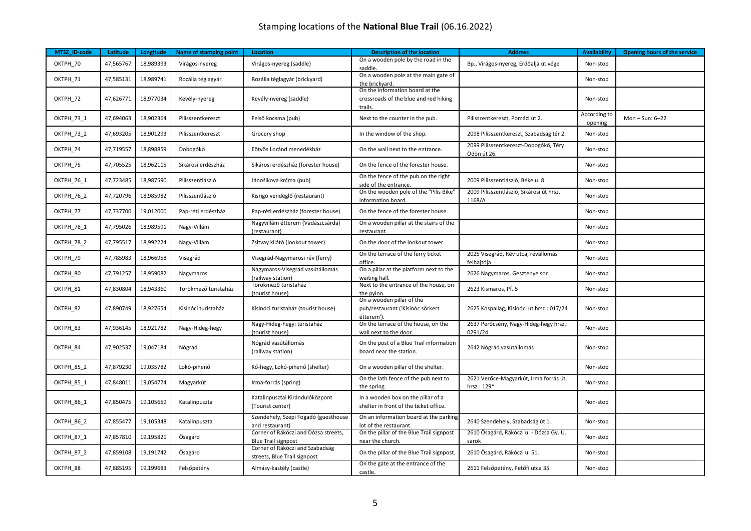| MTSZ ID-code      | Latitude  | Longitude | Name of stamping point | <b>Location</b>                                                    | <b>Description of the location</b>                                                  | <b>Address</b>                                        | <b>Availability</b>     | Opening hours of the service |
|-------------------|-----------|-----------|------------------------|--------------------------------------------------------------------|-------------------------------------------------------------------------------------|-------------------------------------------------------|-------------------------|------------------------------|
| OKTPH_70          | 47,565767 | 18,989393 | Virágos-nyereg         | Virágos-nyereg (saddle)                                            | On a wooden pole by the road in the<br>saddle.                                      | Bp., Virágos-nyereg, Erdőalja út vége                 | Non-stop                |                              |
| OKTPH_71          | 47,585131 | 18,989741 | Rozália téglagyár      | Rozália téglagyár (brickyard)                                      | On a wooden pole at the main gate of<br>the brickyard.                              |                                                       | Non-stop                |                              |
| OKTPH_72          | 47,626771 | 18,977034 | Kevély-nyereg          | Kevély-nyereg (saddle)                                             | On the information board at the<br>crossroads of the blue and red hiking<br>trails. |                                                       | Non-stop                |                              |
| OKTPH_73_1        | 47,694063 | 18,902364 | Pilisszentkereszt      | Felső kocsma (pub)                                                 | Next to the counter in the pub.                                                     | Pilisszentkereszt, Pomázi út 2.                       | According to<br>opening | Mon-Sun: 6-22                |
| OKTPH_73_2        | 47,693205 | 18,901293 | Pilisszentkereszt      | Grocery shop                                                       | In the window of the shop.                                                          | 2098 Pilisszentkereszt, Szabadság tér 2.              | Non-stop                |                              |
| OKTPH 74          | 47,719557 | 18,898859 | Dobogókő               | Eötvös Loránd menedékház                                           | On the wall next to the entrance.                                                   | 2099 Pilisszentkereszt-Dobogókő, Téry<br>Ödön út 26.  | Non-stop                |                              |
| OKTPH 75          | 47,705525 | 18,962115 | Sikárosi erdészház     | Sikárosi erdészház (forester house)                                | On the fence of the forester house.                                                 |                                                       | Non-stop                |                              |
| <b>OKTPH 76 1</b> | 47,723485 | 18,987590 | Pilisszentlászló       | Jánošikova krčma (pub)                                             | On the fence of the pub on the right<br>side of the entrance.                       | 2009 Pilisszentlászló, Béke u. 8.                     | Non-stop                |                              |
| <b>OKTPH 76 2</b> | 47,720796 | 18,985982 | Pilisszentlászló       | Kisrigó vendéglő (restaurant)                                      | On the wooden pole of the "Pilis Bike"<br>information board.                        | 2009 Pilisszentlászló, Sikárosi út hrsz.<br>1168/A    | Non-stop                |                              |
| OKTPH_77          | 47,737700 | 19,012000 | Pap-réti erdészház     | Pap-réti erdészház (forester house)                                | On the fence of the forester house.                                                 |                                                       | Non-stop                |                              |
| OKTPH_78_1        | 47,795026 | 18,989591 | Nagy-Villám            | Nagyvillám étterem (Vadászcsárda)<br>(restaurant)                  | On a wooden pillar at the stairs of the<br>restaurant.                              |                                                       | Non-stop                |                              |
| OKTPH_78_2        | 47,795517 | 18,992224 | Nagy-Villám            | Zsitvay kilátó (lookout tower)                                     | On the door of the lookout tower.                                                   |                                                       | Non-stop                |                              |
| OKTPH 79          | 47,785983 | 18,966958 | Visegrád               | Visegrád-Nagymarosi rév (ferry)                                    | On the terrace of the ferry ticket<br>office.                                       | 2025 Visegrád, Rév utca, révállomás<br>felhajtója     | Non-stop                |                              |
| OKTPH 80          | 47,791257 | 18,959082 | Nagymaros              | Nagymaros-Visegrád vasútállomás<br>(railway station)               | On a pillar at the platform next to the<br>waiting hall.                            | 2626 Nagymaros, Gesztenye sor                         | Non-stop                |                              |
| OKTPH 81          | 47,830804 | 18,943360 | Törökmező turistaház   | Törökmező turistaház<br>(tourist house)                            | Next to the entrance of the house, on<br>the pylon.                                 | 2623 Kismaros, Pf. 5                                  | Non-stop                |                              |
| OKTPH 82          | 47,890749 | 18,927654 | Kisinóci turistaház    | Kisinóci turistaház (tourist house)                                | On a wooden pillar of the<br>pub/restaurant ('Kisinóc sörkert<br>étterem').         | 2625 Kóspallag, Kisinóci út hrsz.: 017/24             | Non-stop                |                              |
| OKTPH 83          | 47,936145 | 18,921782 | Nagy-Hideg-hegy        | Nagy-Hideg-hegyi turistaház<br>(tourist house)                     | On the terrace of the house, on the<br>wall next to the door.                       | 2637 Perőcsény, Nagy-Hideg-hegy hrsz.:<br>0291/24     | Non-stop                |                              |
| OKTPH 84          | 47,902537 | 19,047184 | Nógrád                 | Nógrád vasútállomás<br>(railway station)                           | On the post of a Blue Trail information<br>board near the station.                  | 2642 Nógrád vasútállomás                              | Non-stop                |                              |
| OKTPH 85 2        | 47,879230 | 19,035782 | Lokó-pihenő            | Kő-hegy, Lokó-pihenő (shelter)                                     | On a wooden pillar of the shelter.                                                  |                                                       | Non-stop                |                              |
| OKTPH_85_1        | 47,848011 | 19,054774 | Magyarkút              | Irma-forrás (spring)                                               | On the lath fence of the pub next to<br>the spring.                                 | 2621 Verőce-Magyarkút, Irma forrás út,<br>hrsz.: 129* | Non-stop                |                              |
| OKTPH_86_1        | 47,850475 | 19,105659 | Katalinpuszta          | Katalinpusztai Kirándulóközpont<br>(Tourist center)                | In a wooden box on the pillar of a<br>shelter in front of the ticket office.        |                                                       | Non-stop                |                              |
| OKTPH 86 2        | 47,855477 | 19,105348 | Katalinpuszta          | Szendehely, Szepi Fogadó (guesthouse<br>and restaurant)            | On an information board at the parking<br>lot of the restaurant.                    | 2640 Szendehely, Szabadság út 1.                      | Non-stop                |                              |
| <b>OKTPH 87 1</b> | 47,857810 | 19,195821 | Ősagárd                | Corner of Rákóczi and Dózsa streets,<br><b>Blue Trail signpost</b> | On the pillar of the Blue Trail signpost<br>near the church.                        | 2610 Ősagárd, Rákóczi u. - Dózsa Gy. U.<br>sarok      | Non-stop                |                              |
| OKTPH 87 2        | 47,859108 | 19,191742 | Ősagárd                | Corner of Rákóczi and Szabadság<br>streets, Blue Trail signpost    | On the pillar of the Blue Trail signpost.                                           | 2610 Ősagárd, Rákóczi u. 51.                          | Non-stop                |                              |
| OKTPH 88          | 47,885195 | 19,199683 | Felsőpetény            | Almásy-kastély (castle)                                            | On the gate at the entrance of the<br>castle.                                       | 2611 Felsőpetény, Petőfi utca 35                      | Non-stop                |                              |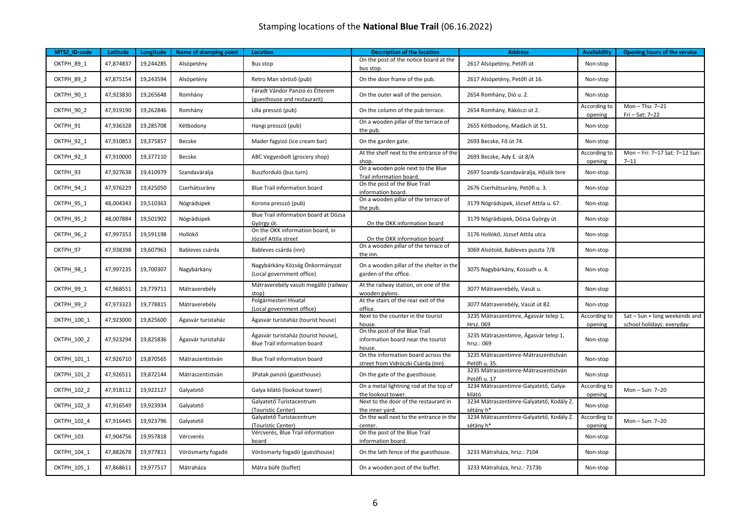| MTSZ ID-code      | Latitude  | Longitude | <b>Name of stamping point</b> | <b>Location</b>                                                     | <b>Description of the location</b>                                            | <b>Address</b>                                        | <b>Availability</b>     | Opening hours of the service                                |
|-------------------|-----------|-----------|-------------------------------|---------------------------------------------------------------------|-------------------------------------------------------------------------------|-------------------------------------------------------|-------------------------|-------------------------------------------------------------|
| OKTPH_89_1        | 47,874837 | 19,244285 | Alsópetény                    | Bus stop                                                            | On the post of the notice board at the<br>bus stop.                           | 2617 Alsópetény, Petőfi út                            | Non-stop                |                                                             |
| OKTPH 89 2        | 47,875154 | 19,243594 | Alsópetény                    | Retro Man söröző (pub)                                              | On the door frame of the pub.                                                 | 2617 Alsópetény, Petőfi út 16.                        | Non-stop                |                                                             |
| OKTPH_90_1        | 47,923830 | 19,265648 | Romhány                       | Fáradt Vándor Panzió és Étterem<br>(guesthouse and restaurant)      | On the outer wall of the pension.                                             | 2654 Romhány, Dió u. 2.                               | Non-stop                |                                                             |
| OKTPH_90_2        | 47,919190 | 19,262846 | Romhány                       | Lilla presszó (pub)                                                 | On the column of the pub terrace.                                             | 2654 Romhány, Rákóczi út 2.                           | According to<br>opening | Mon-Thu: 7-21<br>Fri - Sat: 7-22                            |
| OKTPH 91          | 47,936328 | 19,285708 | Kétbodony                     | Hangi presszó (pub)                                                 | On a wooden pillar of the terrace of<br>the pub.                              | 2655 Kétbodony, Madách út 51.                         | Non-stop                |                                                             |
| OKTPH_92_1        | 47,910853 | 19,375857 | Becske                        | Mader fagyizó (ice cream bar)                                       | On the garden gate.                                                           | 2693 Becske, Fő út 74.                                | Non-stop                |                                                             |
| OKTPH_92_3        | 47,910000 | 19,377110 | Becske                        | ABC Vegyesbolt (grocery shop)                                       | At the shelf next to the entrance of the<br>shop.                             | 2693 Becske, Ady E. út 8/A                            | According to<br>opening | Mon-Fri: 7-17 Sat: 7-12 Sun:<br>$7 - 11$                    |
| OKTPH 93          | 47,927638 | 19,410979 | Szandaváralja                 | Buszforduló (bus turn)                                              | On a wooden pole next to the Blue<br>Trail information board.                 | 2697 Szanda-Szandaváralja, Hősök tere                 | Non-stop                |                                                             |
| OKTPH_94_1        | 47,976229 | 19,425050 | Cserhátsurány                 | Blue Trail information board                                        | On the post of the Blue Trail<br>information board.                           | 2676 Cserhátsurány, Petőfi u. 3.                      | Non-stop                |                                                             |
| OKTPH_95_1        | 48,004343 | 19,510363 | Nógrádsipek                   | Korona presszó (pub)                                                | On a wooden pillar of the terrace of<br>the pub.                              | 3179 Nógrádsipek, József Attila u. 67.                | Non-stop                |                                                             |
| OKTPH 95 2        | 48,007884 | 19,501902 | Nógrádsipek                   | Blue Trail information board at Dózsa<br>György út.                 | On the OKK information board                                                  | 3179 Nógrádsipek, Dózsa György út                     | Non-stop                |                                                             |
| OKTPH_96_2        | 47,997353 | 19,591198 | Hollókő                       | On the OKK information board, in<br>József Attila street            | On the OKK information board                                                  | 3176 Hollókő, József Attila utca                      | Non-stop                |                                                             |
| OKTPH 97          | 47,938398 | 19,607963 | Bableves csárda               | Bableves csárda (inn)                                               | On a wooden pillar of the terrace of<br>the inn.                              | 3069 Alsótold, Bableves puszta 7/8                    | Non-stop                |                                                             |
| OKTPH_98_1        | 47,997235 | 19,700307 | Nagybárkány                   | Nagybárkány Község Önkormányzat<br>(Local government office)        | On a wooden pillar of the shelter in the<br>garden of the office.             | 3075 Nagybárkány, Kossuth u. 4.                       | Non-stop                |                                                             |
| <b>OKTPH 99 1</b> | 47,968551 | 19,779711 | Mátraverebély                 | Mátraverebély vasúti megálló (railway<br>stop)                      | At the railway station, on one of the<br>wooden pylons.                       | 3077 Mátraverebély, Vasút u.                          | Non-stop                |                                                             |
| OKTPH_99_2        | 47,973323 | 19,778815 | Mátraverebély                 | Polgármesteri Hivatal<br>(Local government office)                  | At the stairs of the rear exit of the<br>office.                              | 3077 Mátraverebély, Vasút út 82.                      | Non-stop                |                                                             |
| OKTPH 100 1       | 47,923000 | 19,825600 | Ágasvár turistaház            | Ágasvár turistaház (tourist house)                                  | Next to the counter in the tourist<br>house.                                  | 3235 Mátraszentimre, Ágasvár telep 1,<br>Hrsz. 069    | According to<br>opening | Sat - Sun + long weekends and<br>school holidays: everyday: |
| OKTPH 100 2       | 47,923294 | 19,825836 | Ágasvár turistaház            | Ágasvár turistaház (tourist house),<br>Blue Trail information board | On the post of the Blue Trail<br>information board near the tourist<br>house. | 3235 Mátraszentimre, Ágasvár telep 1,<br>hrsz.: 069   | Non-stop                |                                                             |
| OKTPH 101 1       | 47,926710 | 19,870565 | Mátraszentistván              | Blue Trail information board                                        | On the information board across the<br>street from Vidróczki Csárda (inn).    | 3235 Mátraszentimre-Mátraszentistván<br>Petőfi u. 35. | Non-stop                |                                                             |
| OKTPH 101 2       | 47,926511 | 19,872144 | Mátraszentistván              | 3Patak panzió (guesthouse)                                          | On the gate of the guesthouse.                                                | 3235 Mátraszentimre-Mátraszentistván<br>Petőfi u. 17  | Non-stop                |                                                             |
| OKTPH 102 2       | 47,918112 | 19,922127 | Galyatető                     | Galya kilátó (lookout tower)                                        | On a metal lightning rod at the top of<br>the lookout tower.                  | 3234 Mátraszentimre-Galyatető, Galya-<br>kilátó       | According to<br>opening | Mon-Sun: 7-20                                               |
| OKTPH 102 3       | 47,916549 | 19,923934 | Galyatető                     | Galyatető Turistacentrum<br>(Touristic Center)                      | Next to the door of the restaurant in<br>the inner vard.                      | 3234 Mátraszentimre-Galyatető, Kodály Z.<br>sétány h* | Non-stop                |                                                             |
| OKTPH_102_4       | 47,916445 | 19,923796 | Galyatető                     | Galyatető Turistacentrum<br>(Touristic Center)                      | On the wall next to the entrance in the<br>center.                            | 3234 Mátraszentimre-Galyatető, Kodály Z.<br>sétány h* | According to<br>opening | Mon-Sun: 7-20                                               |
| <b>OKTPH 103</b>  | 47,904756 | 19,957818 | Vércverés                     | Vércverés, Blue Trail information<br>board                          | On the post of the Blue Trail<br>information board.                           |                                                       | Non-stop                |                                                             |
| OKTPH 104 1       | 47,882678 | 19,977811 | Vörösmarty fogadó             | Vörösmarty fogadó (guesthouse)                                      | On the lath fence of the guesthouse.                                          | 3233 Mátraháza, hrsz.: 7104                           | Non-stop                |                                                             |
| OKTPH_105_1       | 47,868611 | 19,977517 | Mátraháza                     | Mátra büfé (buffet)                                                 | On a wooden post of the buffet.                                               | 3233 Mátraháza, hrsz.: 7173b                          | Non-stop                |                                                             |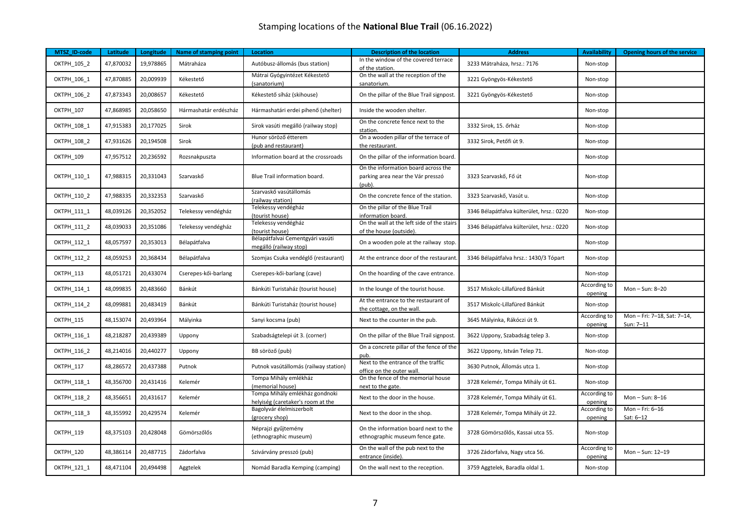| MTSZ_ID-code       | Latitude  | Longitude | Name of stamping point | <b>Location</b>                                                     | <b>Description of the location</b>                                                    | <b>Address</b>                            | <b>Availability</b>     | <b>Opening hours of the service</b>    |
|--------------------|-----------|-----------|------------------------|---------------------------------------------------------------------|---------------------------------------------------------------------------------------|-------------------------------------------|-------------------------|----------------------------------------|
| OKTPH_105_2        | 47,870032 | 19,978865 | Mátraháza              | Autóbusz-állomás (bus station)                                      | In the window of the covered terrace<br>of the station.                               | 3233 Mátraháza, hrsz.: 7176               | Non-stop                |                                        |
| OKTPH_106_1        | 47,870885 | 20,009939 | Kékestető              | Mátrai Gyógyintézet Kékestető<br>(sanatorium)                       | On the wall at the reception of the<br>sanatorium.                                    | 3221 Gyöngyös-Kékestető                   | Non-stop                |                                        |
| OKTPH 106 2        | 47,873343 | 20,008657 | Kékestető              | Kékestető síház (skihouse)                                          | On the pillar of the Blue Trail signpost.                                             | 3221 Gyöngyös-Kékestető                   | Non-stop                |                                        |
| OKTPH_107          | 47,868985 | 20,058650 | Hármashatár erdészház  | Hármashatári erdei pihenő (shelter)                                 | Inside the wooden shelter.                                                            |                                           | Non-stop                |                                        |
| OKTPH_108_1        | 47,915383 | 20,177025 | Sirok                  | Sirok vasúti megálló (railway stop)                                 | On the concrete fence next to the<br>station.                                         | 3332 Sirok, 15. őrház                     | Non-stop                |                                        |
| OKTPH 108 2        | 47,931626 | 20,194508 | Sirok                  | Hunor söröző étterem<br>(pub and restaurant)                        | On a wooden pillar of the terrace of<br>the restaurant.                               | 3332 Sirok, Petőfi út 9.                  | Non-stop                |                                        |
| OKTPH 109          | 47,957512 | 20,236592 | Rozsnakpuszta          | Information board at the crossroads                                 | On the pillar of the information board.                                               |                                           | Non-stop                |                                        |
| OKTPH_110_1        | 47,988315 | 20,331043 | Szarvaskő              | Blue Trail information board.                                       | On the information board across the<br>parking area near the Vár presszó<br>$(pub)$ . | 3323 Szarvaskő, Fő út                     | Non-stop                |                                        |
| OKTPH_110_2        | 47,988335 | 20,332353 | Szarvaskő              | Szarvaskő vasútállomás<br>(railway station)                         | On the concrete fence of the station.                                                 | 3323 Szarvaskő, Vasút u.                  | Non-stop                |                                        |
| OKTPH 111 1        | 48,039126 | 20,352052 | Telekessy vendégház    | Telekessy vendégház<br>(tourist house)                              | On the pillar of the Blue Trail<br>information board.                                 | 3346 Bélapátfalva külterület, hrsz.: 0220 | Non-stop                |                                        |
| OKTPH 111 2        | 48,039033 | 20,351086 | Telekessy vendégház    | Telekessy vendégház<br>(tourist house)                              | On the wall at the left side of the stairs<br>of the house (outside).                 | 3346 Bélapátfalva külterület, hrsz.: 0220 | Non-stop                |                                        |
| OKTPH_112_1        | 48,057597 | 20,353013 | Bélapátfalva           | Bélapátfalvai Cementgyári vasúti<br>megálló (railway stop)          | On a wooden pole at the railway stop.                                                 |                                           | Non-stop                |                                        |
| OKTPH_112_2        | 48,059253 | 20,368434 | Bélapátfalva           | Szomjas Csuka vendéglő (restaurant)                                 | At the entrance door of the restaurant.                                               | 3346 Bélapátfalva hrsz.: 1430/3 Tópart    | Non-stop                |                                        |
| OKTPH 113          | 48,051721 | 20,433074 | Cserepes-kői-barlang   | Cserepes-kői-barlang (cave)                                         | On the hoarding of the cave entrance.                                                 |                                           | Non-stop                |                                        |
| OKTPH 114 1        | 48,099835 | 20,483660 | Bánkút                 | Bánkúti Turistaház (tourist house)                                  | In the lounge of the tourist house.                                                   | 3517 Miskolc-Lillafüred Bánkút            | According to<br>opening | Mon-Sun: 8-20                          |
| OKTPH_114_2        | 48,099881 | 20,483419 | Bánkút                 | Bánkúti Turistaház (tourist house)                                  | At the entrance to the restaurant of<br>the cottage, on the wall.                     | 3517 Miskolc-Lillafüred Bánkút            | Non-stop                |                                        |
| OKTPH_115          | 48,153074 | 20,493964 | Mályinka               | Sanyi kocsma (pub)                                                  | Next to the counter in the pub.                                                       | 3645 Mályinka, Rákóczi út 9.              | According to<br>opening | Mon-Fri: 7-18, Sat: 7-14,<br>Sun: 7-11 |
| OKTPH 116 1        | 48,218287 | 20,439389 | Uppony                 | Szabadságtelepi út 3. (corner)                                      | On the pillar of the Blue Trail signpost.                                             | 3622 Uppony, Szabadság telep 3.           | Non-stop                |                                        |
| OKTPH 116 2        | 48,214016 | 20,440277 | Uppony                 | BB söröző (pub)                                                     | On a concrete pillar of the fence of the<br>pub.                                      | 3622 Uppony, István Telep 71.             | Non-stop                |                                        |
| OKTPH_117          | 48,286572 | 20,437388 | Putnok                 | Putnok vasútállomás (railway station)                               | Next to the entrance of the traffic<br>office on the outer wall.                      | 3630 Putnok, Állomás utca 1.              | Non-stop                |                                        |
| OKTPH_118_1        | 48,356700 | 20,431416 | Kelemér                | Tompa Mihály emlékház<br>(memorial house)                           | On the fence of the memorial house<br>next to the gate.                               | 3728 Kelemér, Tompa Mihály út 61.         | Non-stop                |                                        |
| <b>OKTPH 118 2</b> | 48,356651 | 20,431617 | Kelemér                | Tompa Mihály emlékház gondnoki<br>helyiség (caretaker's room at the | Next to the door in the house.                                                        | 3728 Kelemér, Tompa Mihály út 61.         | According to<br>opening | Mon-Sun: 8-16                          |
| OKTPH 118 3        | 48,355992 | 20,429574 | Kelemér                | Bagolyvár élelmiszerbolt<br>(grocery shop)                          | Next to the door in the shop.                                                         | 3728 Kelemér, Tompa Mihály út 22.         | According to<br>opening | Mon-Fri: 6-16<br>Sat: 6-12             |
| OKTPH_119          | 48,375103 | 20,428048 | Gömörszőlős            | Néprajzi gyűjtemény<br>(ethnographic museum)                        | On the information board next to the<br>ethnographic museum fence gate.               | 3728 Gömörszőlős, Kassai utca 55.         | Non-stop                |                                        |
| OKTPH_120          | 48,386114 | 20,487715 | Zádorfalva             | Szivárvány presszó (pub)                                            | On the wall of the pub next to the<br>entrance (inside).                              | 3726 Zádorfalva, Nagy utca 56.            | According to<br>opening | Mon-Sun: 12-19                         |
| OKTPH 121 1        | 48,471104 | 20,494498 | Aggtelek               | Nomád Baradla Kemping (camping)                                     | On the wall next to the reception.                                                    | 3759 Aggtelek, Baradla oldal 1.           | Non-stop                |                                        |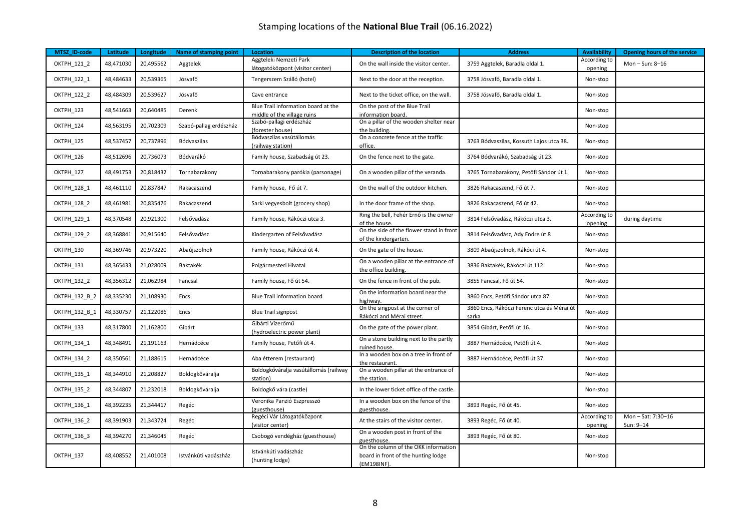| MTSZ ID-code       | Latitude  | Longitude | Name of stamping point | <b>Location</b>                                                    | <b>Description of the location</b>                                                         | <b>Address</b>                                      | <b>Availability</b>     | Opening hours of the service  |
|--------------------|-----------|-----------|------------------------|--------------------------------------------------------------------|--------------------------------------------------------------------------------------------|-----------------------------------------------------|-------------------------|-------------------------------|
| <b>OKTPH 121 2</b> | 48,471030 | 20,495562 | Aggtelek               | Aggteleki Nemzeti Park<br>látogatóközpont (visitor center)         | On the wall inside the visitor center.                                                     | 3759 Aggtelek, Baradla oldal 1.                     | According to<br>opening | Mon-Sun: 8-16                 |
| OKTPH 122 1        | 48,484633 | 20,539365 | Jósvafő                | Tengerszem Szálló (hotel)                                          | Next to the door at the reception.                                                         | 3758 Jósvafő, Baradla oldal 1.                      | Non-stop                |                               |
| <b>OKTPH 122 2</b> | 48,484309 | 20,539627 | Jósvafő                | Cave entrance                                                      | Next to the ticket office, on the wall.                                                    | 3758 Jósvafő, Baradla oldal 1.                      | Non-stop                |                               |
| OKTPH_123          | 48,541663 | 20,640485 | Derenk                 | Blue Trail information board at the<br>middle of the village ruins | On the post of the Blue Trail<br>information board.                                        |                                                     | Non-stop                |                               |
| OKTPH 124          | 48,563195 | 20,702309 | Szabó-pallag erdészház | Szabó-pallagi erdészház<br>(forester house)                        | On a pillar of the wooden shelter near<br>the building.                                    |                                                     | Non-stop                |                               |
| OKTPH 125          | 48,537457 | 20,737896 | Bódvaszilas            | Bódvaszilas vasútállomás<br>(railway station)                      | On a concrete fence at the traffic<br>office.                                              | 3763 Bódvaszilas, Kossuth Lajos utca 38.            | Non-stop                |                               |
| OKTPH_126          | 48,512696 | 20,736073 | Bódvarákó              | Family house, Szabadság út 23.                                     | On the fence next to the gate.                                                             | 3764 Bódvarákó, Szabadság út 23.                    | Non-stop                |                               |
| OKTPH 127          | 48,491753 | 20,818432 | Tornabarakony          | Tornabarakony parókia (parsonage)                                  | On a wooden pillar of the veranda.                                                         | 3765 Tornabarakony, Petőfi Sándor út 1.             | Non-stop                |                               |
| OKTPH 128 1        | 48,461110 | 20,837847 | Rakacaszend            | Family house, Fő út 7.                                             | On the wall of the outdoor kitchen.                                                        | 3826 Rakacaszend, Fő út 7.                          | Non-stop                |                               |
| <b>OKTPH 128 2</b> | 48,461981 | 20,835476 | Rakacaszend            | Sarki vegyesbolt (grocery shop)                                    | In the door frame of the shop.                                                             | 3826 Rakacaszend, Fő út 42.                         | Non-stop                |                               |
| OKTPH 129 1        | 48,370548 | 20,921300 | Felsővadász            | Family house, Rákóczi utca 3.                                      | Ring the bell, Fehér Ernő is the owner<br>of the house.                                    | 3814 Felsővadász, Rákóczi utca 3.                   | According to<br>opening | during daytime                |
| OKTPH_129_2        | 48,368841 | 20,915640 | Felsővadász            | Kindergarten of Felsővadász                                        | On the side of the flower stand in front<br>of the kindergarten.                           | 3814 Felsővadász, Ady Endre út 8                    | Non-stop                |                               |
| OKTPH 130          | 48,369746 | 20,973220 | Abaújszolnok           | Family house, Rákóczi út 4.                                        | On the gate of the house.                                                                  | 3809 Abaújszolnok, Rákóci út 4.                     | Non-stop                |                               |
| OKTPH 131          | 48,365433 | 21,028009 | Baktakék               | Polgármesteri Hivatal                                              | On a wooden pillar at the entrance of<br>the office building.                              | 3836 Baktakék, Rákóczi út 112.                      | Non-stop                |                               |
| OKTPH_132_2        | 48,356312 | 21,062984 | Fancsal                | Family house, Fő út 54.                                            | On the fence in front of the pub.                                                          | 3855 Fancsal. Fő út 54.                             | Non-stop                |                               |
| OKTPH_132_B_2      | 48,335230 | 21,108930 | Encs                   | <b>Blue Trail information board</b>                                | On the information board near the<br>highway.                                              | 3860 Encs, Petőfi Sándor utca 87.                   | Non-stop                |                               |
| OKTPH 132 B 1      | 48,330757 | 21,122086 | Encs                   | <b>Blue Trail signpost</b>                                         | On the singpost at the corner of<br>Rákóczi and Mérai street.                              | 3860 Encs, Rákóczi Ferenc utca és Mérai út<br>sarka | Non-stop                |                               |
| OKTPH 133          | 48,317800 | 21,162800 | Gibárt                 | Gibárti Vízerőmű<br>(hydroelectric power plant)                    | On the gate of the power plant.                                                            | 3854 Gibárt, Petőfi út 16.                          | Non-stop                |                               |
| OKTPH_134_1        | 48,348491 | 21,191163 | Hernádcéce             | Family house, Petőfi út 4.                                         | On a stone building next to the partly<br>ruined house.                                    | 3887 Hernádcéce, Petőfi út 4.                       | Non-stop                |                               |
| OKTPH 134 2        | 48,350561 | 21,188615 | Hernádcéce             | Aba étterem (restaurant)                                           | In a wooden box on a tree in front of<br>the restaurant.                                   | 3887 Hernádcéce, Petőfi út 37.                      | Non-stop                |                               |
| OKTPH_135_1        | 48,344910 | 21,208827 | Boldogkőváralja        | Boldogkőváralja vasútállomás (railway<br>station)                  | On a wooden pillar at the entrance of<br>the station.                                      |                                                     | Non-stop                |                               |
| OKTPH_135_2        | 48,344807 | 21,232018 | Boldogkőváralja        | Boldogkő vára (castle)                                             | In the lower ticket office of the castle.                                                  |                                                     | Non-stop                |                               |
| OKTPH 136 1        | 48,392235 | 21,344417 | Regéc                  | Veronika Panzió Eszpresszó<br>(guesthouse)                         | In a wooden box on the fence of the<br>guesthouse.                                         | 3893 Regéc, Fő út 45.                               | Non-stop                |                               |
| OKTPH_136_2        | 48,391903 | 21,343724 | Regéc                  | Regéci Vár Látogatóközpont<br>(visitor center)                     | At the stairs of the visitor center.                                                       | 3893 Regéc, Fő út 40.                               | According to<br>opening | Mon-Sat: 7:30-16<br>Sun: 9-14 |
| OKTPH_136_3        | 48,394270 | 21,346045 | Regéc                  | Csobogó vendégház (guesthouse)                                     | On a wooden post in front of the<br>guesthouse.                                            | 3893 Regéc, Fő út 80.                               | Non-stop                |                               |
| OKTPH 137          | 48,408552 | 21,401008 | Istvánkúti vadászház   | Istvánkúti vadászház<br>(hunting lodge)                            | On the column of the OKK information<br>board in front of the hunting lodge<br>(EM198INF). |                                                     | Non-stop                |                               |